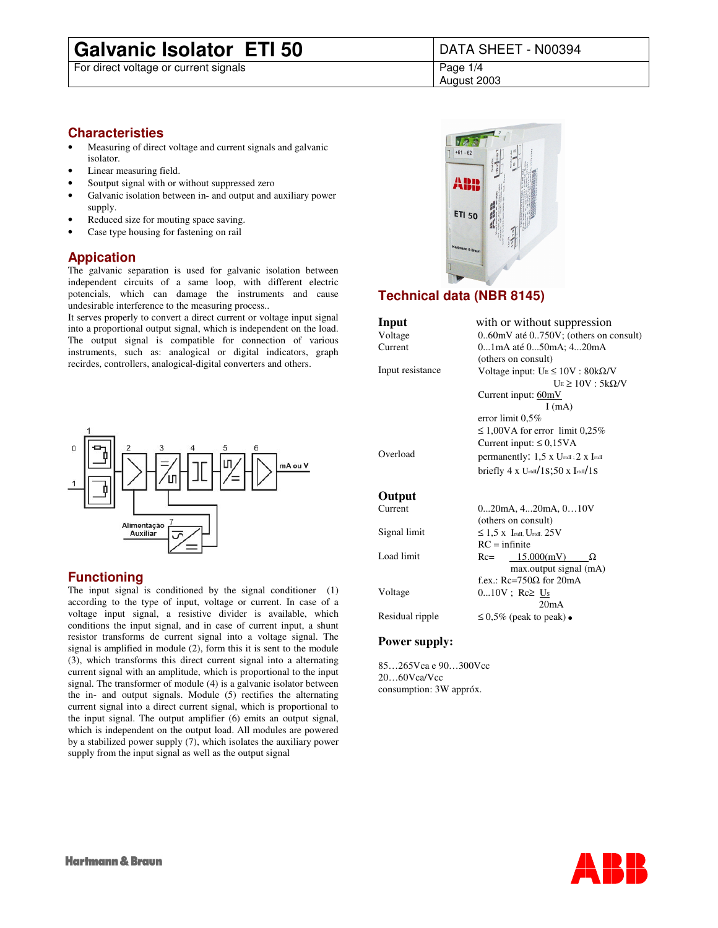## **Galvanic Isolator ETI 50** DATA SHEET - N00394<br>For direct voltage or current signals

For direct voltage or current signals

August 2003

#### **Characteristies**

- Measuring of direct voltage and current signals and galvanic isolator.
- Linear measuring field.
- Soutput signal with or without suppressed zero
- Galvanic isolation between in- and output and auxiliary power supply.
- Reduced size for mouting space saving.
- Case type housing for fastening on rail

#### **Appication**

The galvanic separation is used for galvanic isolation between independent circuits of a same loop, with different electric potencials, which can damage the instruments and cause undesirable interference to the measuring process..

It serves properly to convert a direct current or voltage input signal into a proportional output signal, which is independent on the load. The output signal is compatible for connection of various instruments, such as: analogical or digital indicators, graph recirdes, controllers, analogical-digital converters and others.



#### **Functioning**

The input signal is conditioned by the signal conditioner (1) according to the type of input, voltage or current. In case of a voltage input signal, a resistive divider is available, which conditions the input signal, and in case of current input, a shunt resistor transforms de current signal into a voltage signal. The signal is amplified in module (2), form this it is sent to the module (3), which transforms this direct current signal into a alternating current signal with an amplitude, which is proportional to the input signal. The transformer of module (4) is a galvanic isolator between the in- and output signals. Module (5) rectifies the alternating current signal into a direct current signal, which is proportional to the input signal. The output amplifier (6) emits an output signal, which is independent on the output load. All modules are powered by a stabilized power supply (7), which isolates the auxiliary power supply from the input signal as well as the output signal



### **Technical data (NBR 8145)**

| Input            | with or without suppression                                       |  |  |  |  |
|------------------|-------------------------------------------------------------------|--|--|--|--|
| Voltage          | $0.60$ mV até $0.750V$ ; (others on consult)                      |  |  |  |  |
| Current          | 01mA até 050mA; 420mA                                             |  |  |  |  |
|                  | (others on consult)                                               |  |  |  |  |
| Input resistance | Voltage input: $U_E \le 10V$ : $80k\Omega/V$                      |  |  |  |  |
|                  | $U_E \ge 10V$ : 5k $\Omega/V$                                     |  |  |  |  |
|                  | Current input: $60mV$                                             |  |  |  |  |
|                  | I(mA)                                                             |  |  |  |  |
|                  | error limit $0.5\%$                                               |  |  |  |  |
|                  | $\leq 1,00\,$ A for error limit 0,25%                             |  |  |  |  |
|                  | Current input: $\leq 0.15\text{VA}$                               |  |  |  |  |
| Overload         | permanently: $1.5 \times U_{\text{rtdI}}$ ; 2 x I <sub>rtdI</sub> |  |  |  |  |
|                  | briefly $4 \times U$ rtdI $/1$ S;50 x IrtdI $/1$ S                |  |  |  |  |
| Output           |                                                                   |  |  |  |  |
| Current          | $020mA$ , $420mA$ , $010V$                                        |  |  |  |  |
|                  | (others on consult)                                               |  |  |  |  |
| Signal limit     | $\leq$ 1.5 x Irtdl, Urtdl, 25V                                    |  |  |  |  |
|                  | $RC = infinite$                                                   |  |  |  |  |
| Load limit       | $Rc=$ 15.000(mV)<br>Ω                                             |  |  |  |  |

f.ex.: Rc=750Ω for 20mA Voltage  $0...10V$ ; Rc≥ Us 20mA Residual ripple  $\leq 0.5\%$  (peak to peak)

max.output signal (mA)

#### **Power supply:**

85…265Vca e 90…300Vcc 20…60Vca/Vcc consumption: 3W appróx.

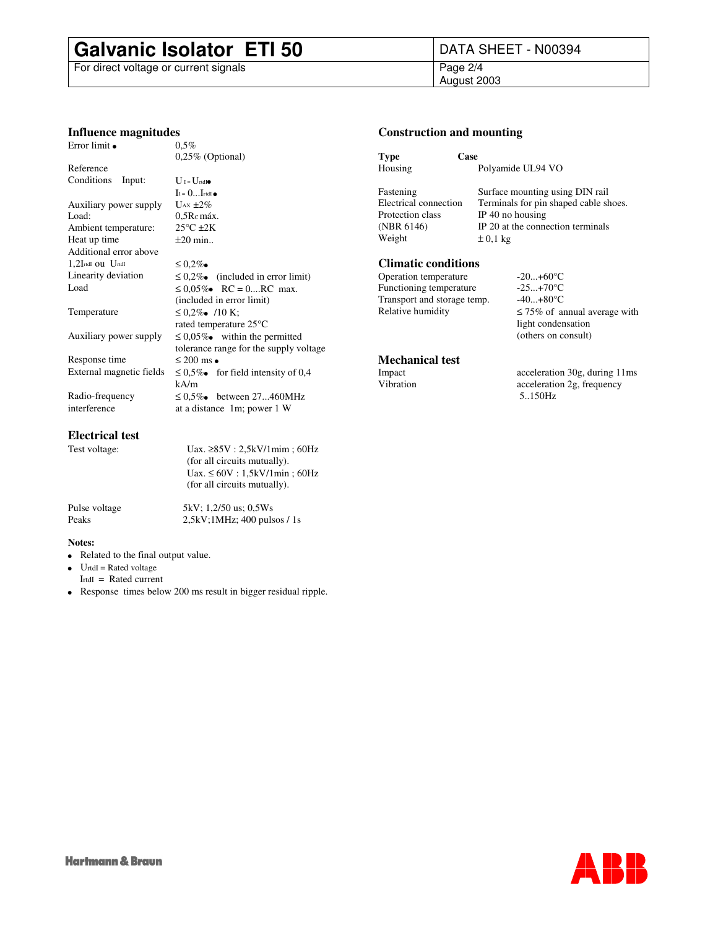# **Galvanic Isolator ETI 50** DATA SHEET - N00394<br>For direct voltage or current signals<br>Page 2/4

For direct voltage or current signals

## August 2003

#### **Influence magnitudes**

| Error limit              | $0.5\%$                                 |  |  |  |  |  |
|--------------------------|-----------------------------------------|--|--|--|--|--|
|                          | $0,25\%$ (Optional)                     |  |  |  |  |  |
| Reference                |                                         |  |  |  |  |  |
| Conditions<br>Input:     | $U$ I = $U$ rtdI                        |  |  |  |  |  |
|                          | $I = 0I$ rtdI                           |  |  |  |  |  |
| Auxiliary power supply   | $U_{AX} \pm 2\%$                        |  |  |  |  |  |
| Load:                    | $0.5Rc$ máx.                            |  |  |  |  |  |
| Ambient temperature:     | $25^{\circ}$ C $\pm 2K$                 |  |  |  |  |  |
| Heat up time             | $\pm 20$ min                            |  |  |  |  |  |
| Additional error above   |                                         |  |  |  |  |  |
| $1,2$ IrtdI OU UrtdI     | $\leq 0.2\%$                            |  |  |  |  |  |
| Linearity deviation      | $\leq 0.2\%$ (included in error limit)  |  |  |  |  |  |
| Load                     | $\leq 0.05\%$ RC = 0RC max.             |  |  |  |  |  |
|                          | (included in error limit)               |  |  |  |  |  |
| Temperature              | $\leq 0.2\%$ /10 K;                     |  |  |  |  |  |
|                          | rated temperature 25°C                  |  |  |  |  |  |
| Auxiliary power supply   | $\leq 0.05\%$ within the permitted      |  |  |  |  |  |
|                          | tolerance range for the supply voltage  |  |  |  |  |  |
| Response time            | $\leq 200$ ms                           |  |  |  |  |  |
| External magnetic fields | $\leq 0.5\%$ for field intensity of 0.4 |  |  |  |  |  |
|                          | kA/m                                    |  |  |  |  |  |
| Radio-frequency          | $\leq 0.5\%$ between 27460MHz           |  |  |  |  |  |
| interference             | at a distance 1m; power 1 W             |  |  |  |  |  |

#### **Electrical test**

Test voltage: Uax. ≥85V : 2,5kV/1mim ; 60Hz (for all circuits mutually). Uax.  $\leq 60V : 1,5kV/1min$ ; 60Hz (for all circuits mutually).

Pulse voltage 5kV; 1,2/50 us; 0,5Ws Peaks 2,5kV;1MHz; 400 pulsos / 1s

#### **Notes:**

 Related to the final output value. UrtdI = Rated voltage IrtdI = Rated current Response times below 200 ms result in bigger residual ripple.

#### **Construction and mounting**

| Type                  | Case                                  |
|-----------------------|---------------------------------------|
| Housing               | Polyamide UL94 VO                     |
| Fastening             | Surface mounting using DIN rail       |
| Electrical connection | Terminals for pin shaped cable shoes. |
| Protection class      | IP 40 no housing                      |
| (NBR 6146)            | IP 20 at the connection terminals     |
| Weight                | $\pm 0.1$ kg                          |
|                       |                                       |

#### **Climatic conditions**

Operation temperature -20...+60°C Functioning temperature -25...+70°C Transport and storage temp.  $-40...+80^{\circ}C$ 

### Relative humidity  $\leq 75\%$  of annual average with light condensation (others on consult)

## **Mechanical test**

Impact acceleration 30g, during 11ms<br>Vibration acceleration 2g, frequency acceleration 2g, frequency 5..150Hz

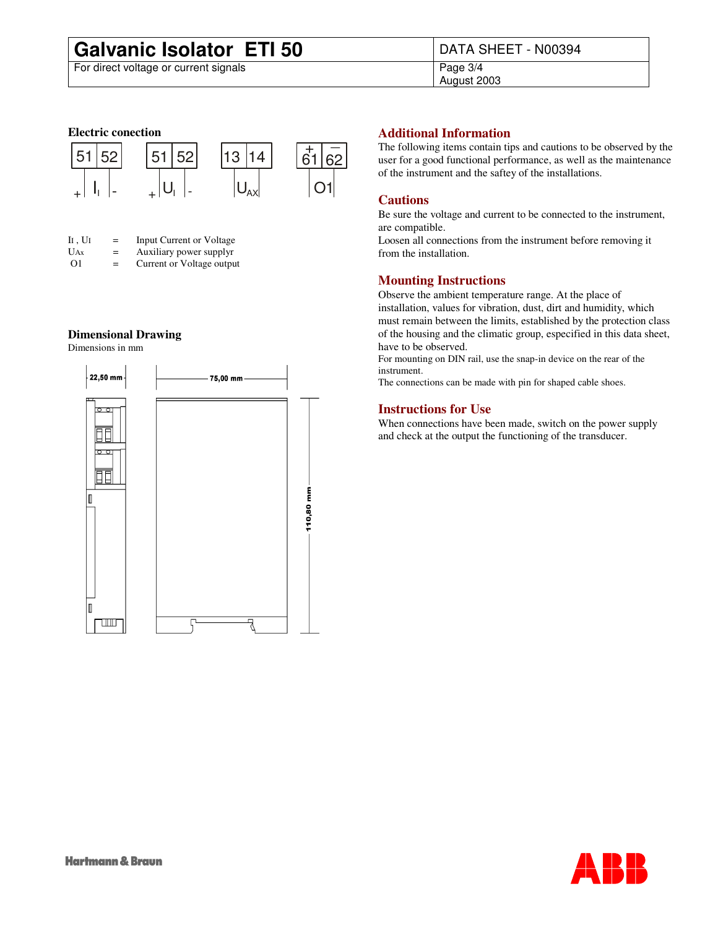# **Galvanic Isolator ETI 50** DATA SHEET - N00394<br>For direct voltage or current signals<br>Page 3/4

For direct voltage or current signals

August 2003

#### **Electric conection**



| $\mathbf{I}$ $\mathbf{I}$ , $\mathbf{U}$ $\mathbf{I}$ | $=$ | Input Current or Voltage  |
|-------------------------------------------------------|-----|---------------------------|
| U <sub>Ax</sub>                                       | $=$ | Auxiliary power supplyr   |
| $\Omega$ 1                                            | $=$ | Current or Voltage output |

#### **Dimensional Drawing**

Dimensions in mm



#### **Additional Information**

The following items contain tips and cautions to be observed by the user for a good functional performance, as well as the maintenance of the instrument and the saftey of the installations.

#### **Cautions**

Be sure the voltage and current to be connected to the instrument, are compatible.

Loosen all connections from the instrument before removing it from the installation.

#### **Mounting Instructions**

Observe the ambient temperature range. At the place of installation, values for vibration, dust, dirt and humidity, which must remain between the limits, established by the protection class of the housing and the climatic group, especified in this data sheet, have to be observed.

For mounting on DIN rail, use the snap-in device on the rear of the instrument.

The connections can be made with pin for shaped cable shoes.

#### **Instructions for Use**

When connections have been made, switch on the power supply and check at the output the functioning of the transducer.